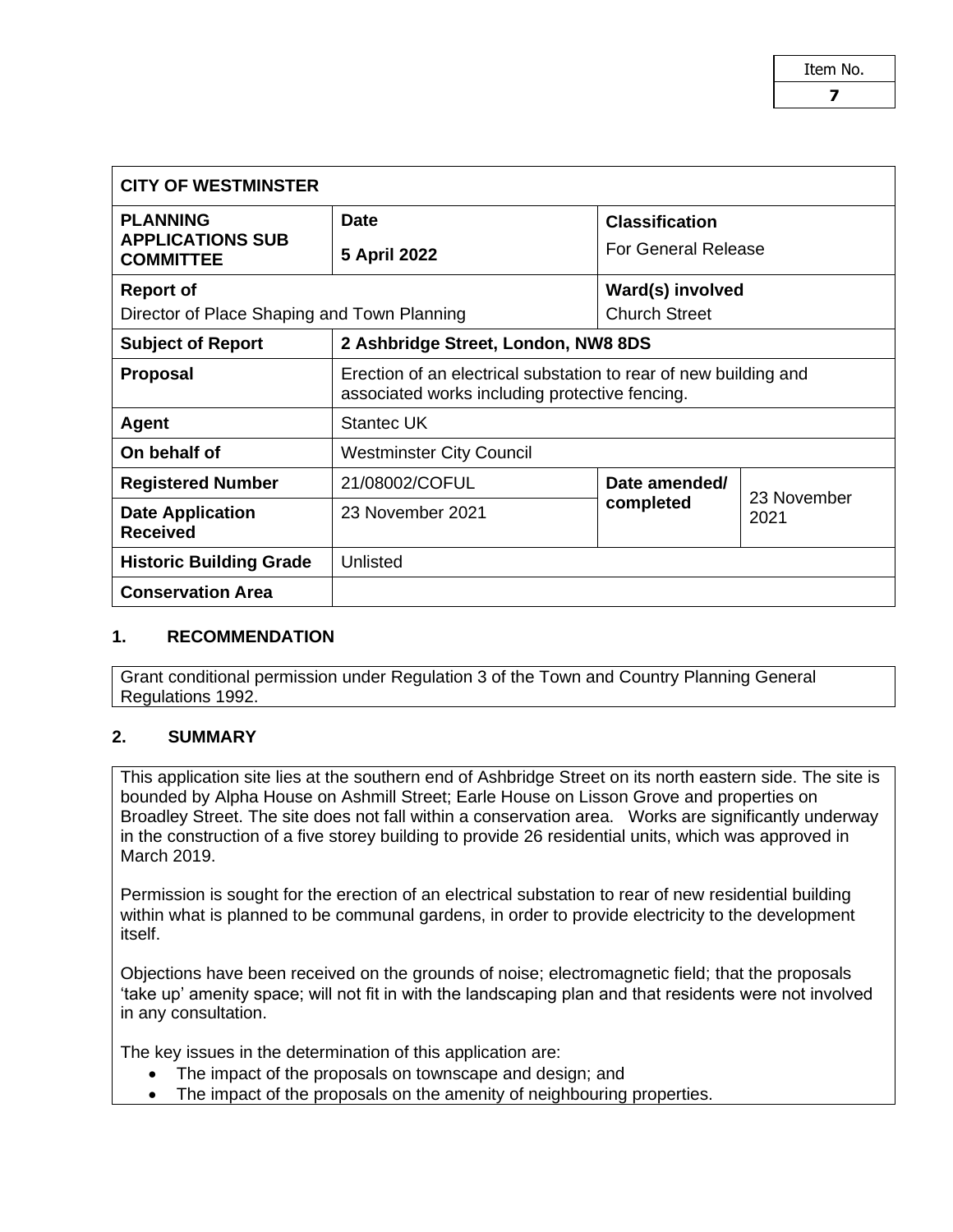| <b>CITY OF WESTMINSTER</b>                  |                                                                                                                    |                                                     |                     |  |  |
|---------------------------------------------|--------------------------------------------------------------------------------------------------------------------|-----------------------------------------------------|---------------------|--|--|
| <b>PLANNING</b>                             | <b>Date</b>                                                                                                        | <b>Classification</b><br><b>For General Release</b> |                     |  |  |
| <b>APPLICATIONS SUB</b><br><b>COMMITTEE</b> | 5 April 2022                                                                                                       |                                                     |                     |  |  |
| <b>Report of</b>                            |                                                                                                                    | Ward(s) involved                                    |                     |  |  |
| Director of Place Shaping and Town Planning |                                                                                                                    | <b>Church Street</b>                                |                     |  |  |
| <b>Subject of Report</b>                    | 2 Ashbridge Street, London, NW8 8DS                                                                                |                                                     |                     |  |  |
| <b>Proposal</b>                             | Erection of an electrical substation to rear of new building and<br>associated works including protective fencing. |                                                     |                     |  |  |
| Agent                                       | <b>Stantec UK</b>                                                                                                  |                                                     |                     |  |  |
| On behalf of                                | <b>Westminster City Council</b>                                                                                    |                                                     |                     |  |  |
| <b>Registered Number</b>                    | 21/08002/COFUL                                                                                                     | Date amended/<br>completed                          | 23 November<br>2021 |  |  |
| <b>Date Application</b><br><b>Received</b>  | 23 November 2021                                                                                                   |                                                     |                     |  |  |
| <b>Historic Building Grade</b>              | Unlisted                                                                                                           |                                                     |                     |  |  |
| <b>Conservation Area</b>                    |                                                                                                                    |                                                     |                     |  |  |

#### **1. RECOMMENDATION**

Grant conditional permission under Regulation 3 of the Town and Country Planning General Regulations 1992.

#### **2. SUMMARY**

This application site lies at the southern end of Ashbridge Street on its north eastern side. The site is bounded by Alpha House on Ashmill Street; Earle House on Lisson Grove and properties on Broadley Street. The site does not fall within a conservation area. Works are significantly underway in the construction of a five storey building to provide 26 residential units, which was approved in March 2019.

Permission is sought for the erection of an electrical substation to rear of new residential building within what is planned to be communal gardens, in order to provide electricity to the development itself.

Objections have been received on the grounds of noise; electromagnetic field; that the proposals 'take up' amenity space; will not fit in with the landscaping plan and that residents were not involved in any consultation.

The key issues in the determination of this application are:

- The impact of the proposals on townscape and design; and
- The impact of the proposals on the amenity of neighbouring properties.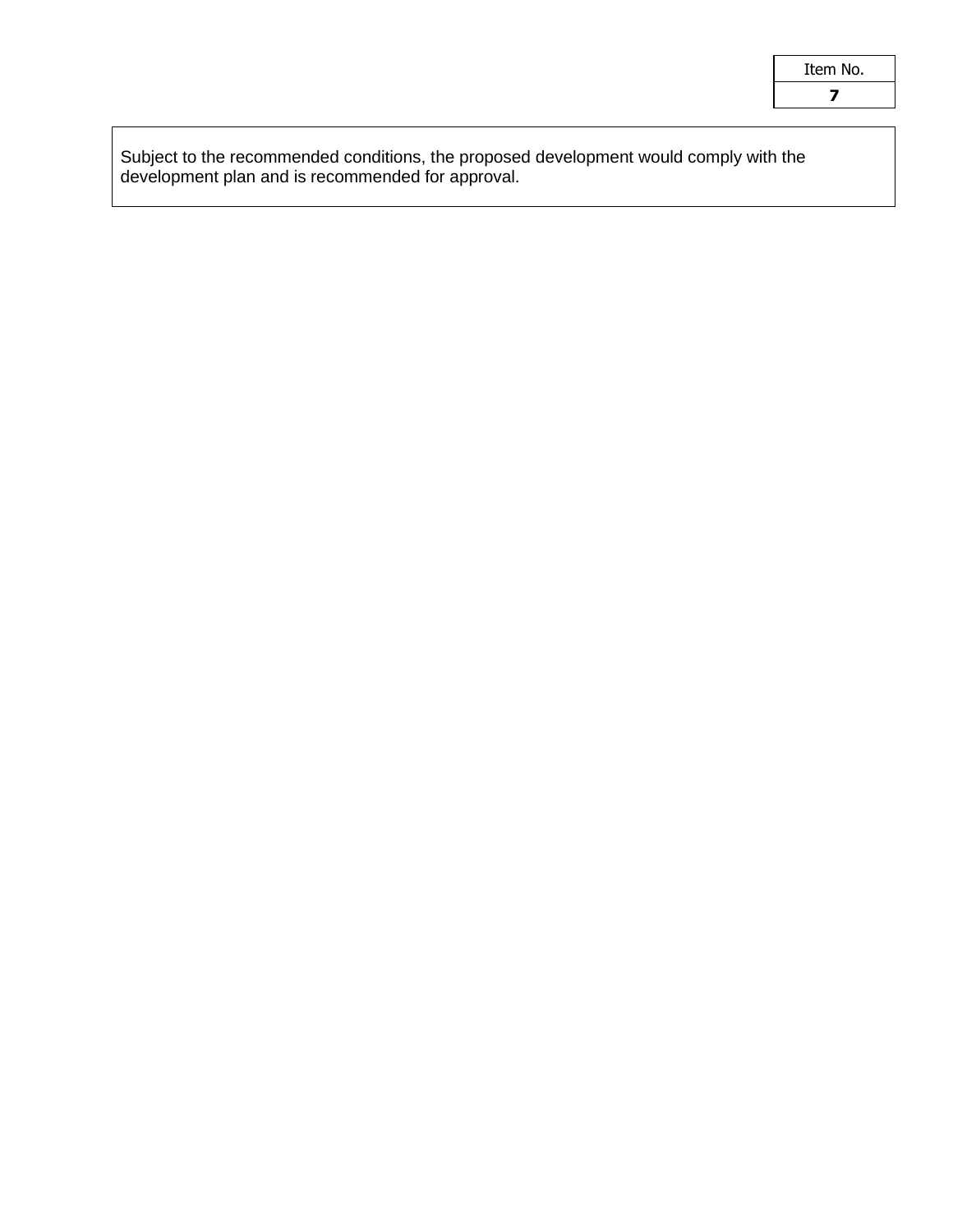| Item No. |  |
|----------|--|
|          |  |

Subject to the recommended conditions, the proposed development would comply with the development plan and is recommended for approval.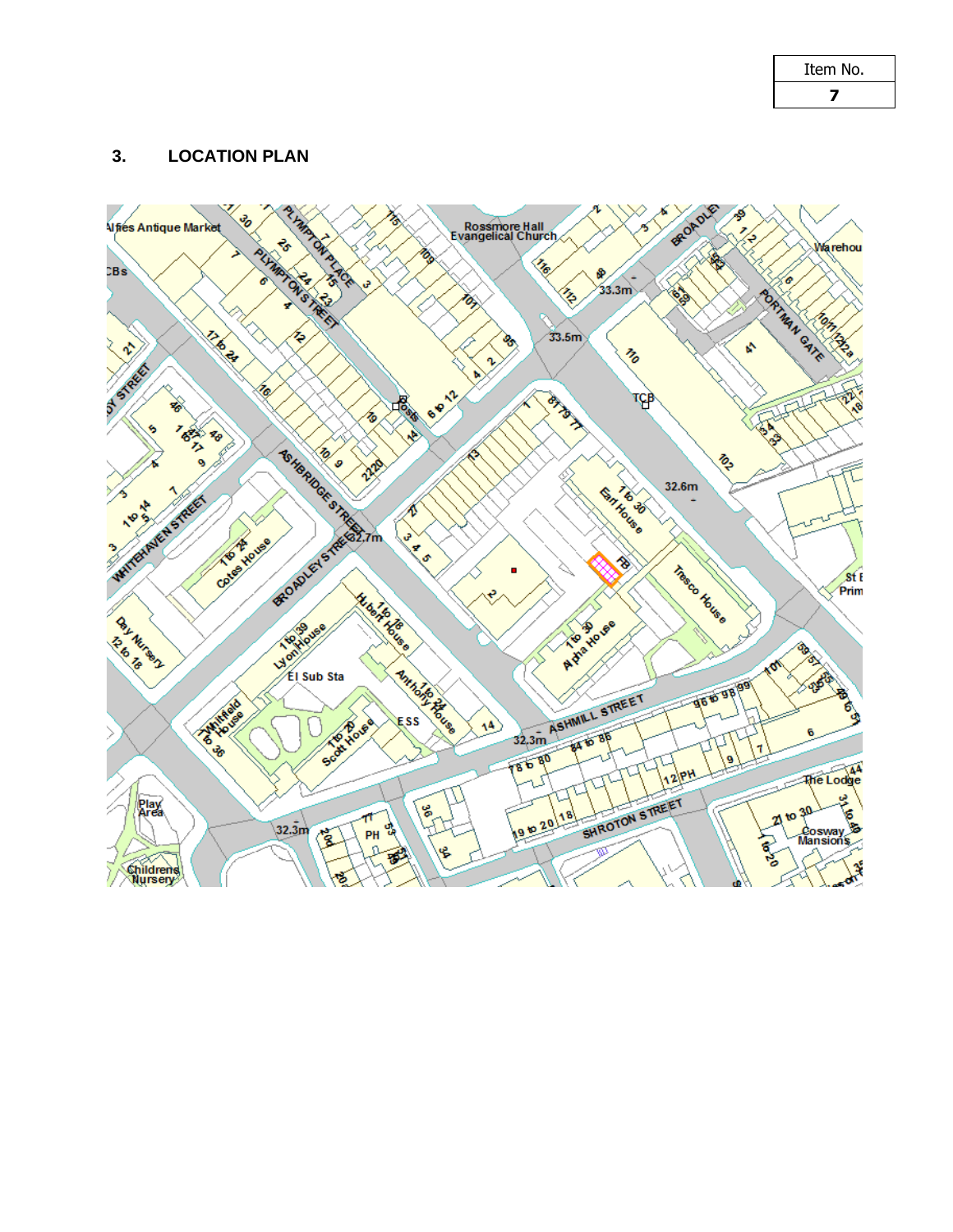| Item No. |  |
|----------|--|
| 7        |  |

# **3. LOCATION PLAN**

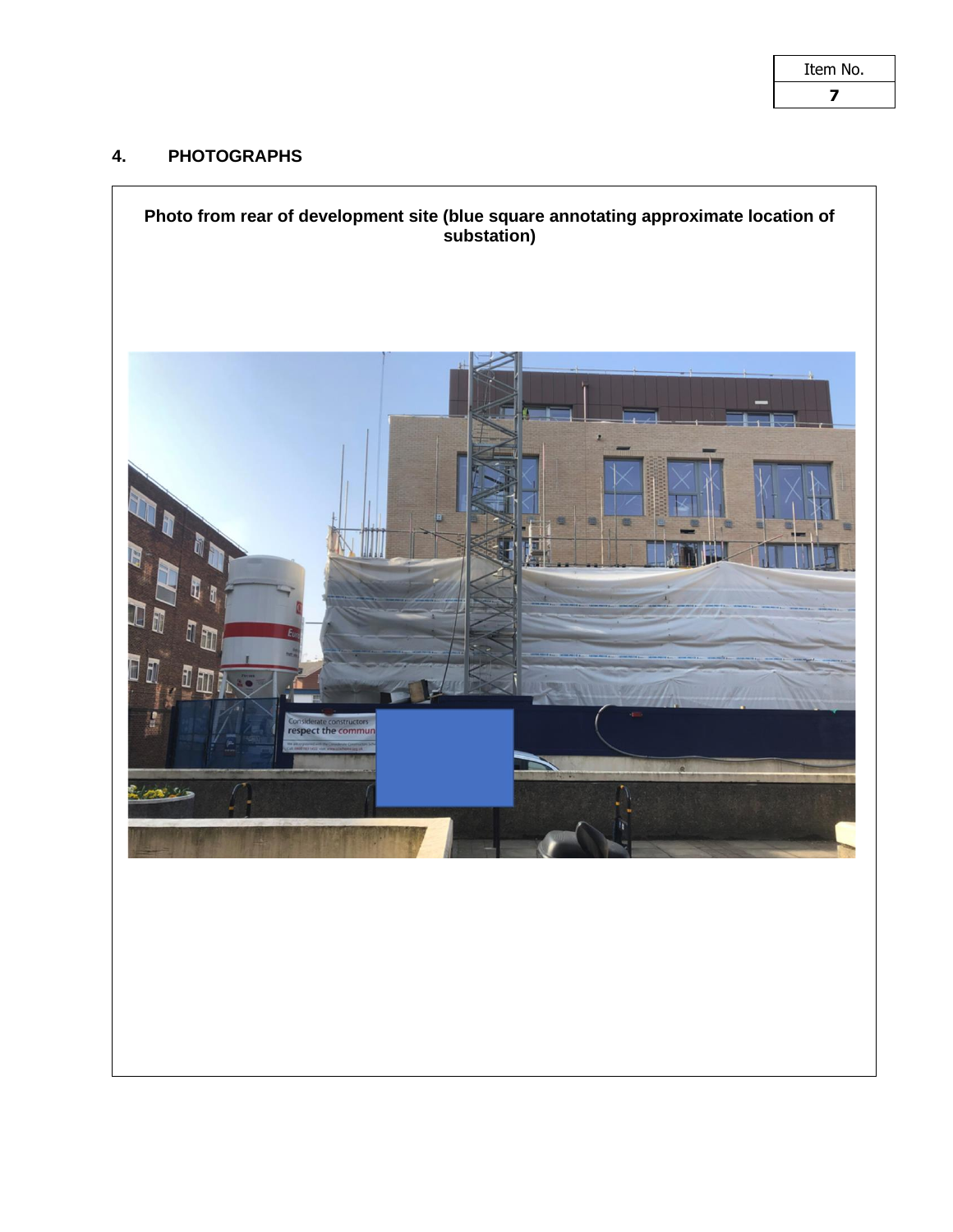| Item No. |  |  |
|----------|--|--|
| 7        |  |  |

# **4. PHOTOGRAPHS**

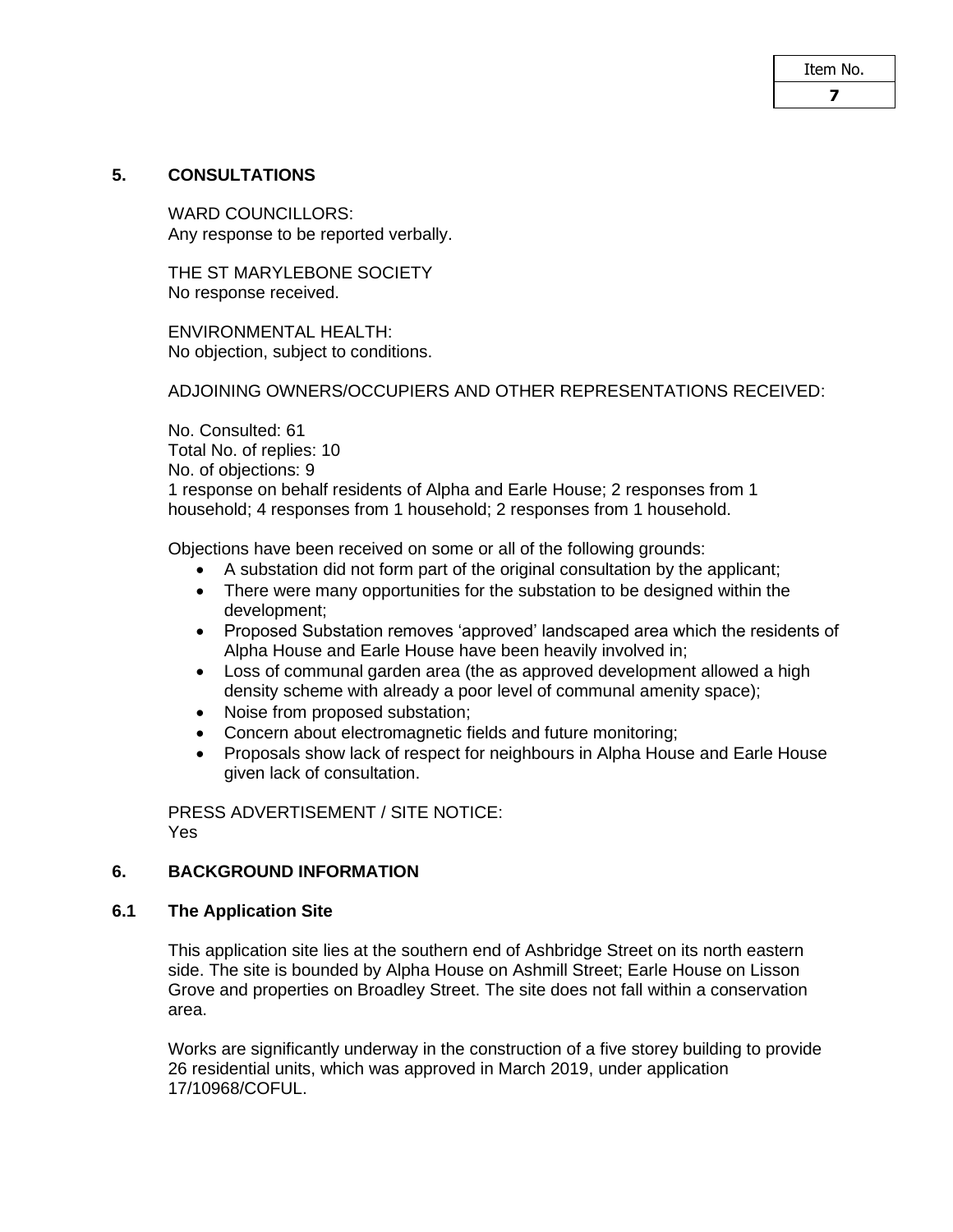# **5. CONSULTATIONS**

WARD COUNCILLORS: Any response to be reported verbally.

THE ST MARYLEBONE SOCIETY No response received.

ENVIRONMENTAL HEALTH: No objection, subject to conditions.

# ADJOINING OWNERS/OCCUPIERS AND OTHER REPRESENTATIONS RECEIVED:

No. Consulted: 61 Total No. of replies: 10 No. of objections: 9 1 response on behalf residents of Alpha and Earle House; 2 responses from 1 household; 4 responses from 1 household; 2 responses from 1 household.

Objections have been received on some or all of the following grounds:

- A substation did not form part of the original consultation by the applicant;
- There were many opportunities for the substation to be designed within the development;
- Proposed Substation removes 'approved' landscaped area which the residents of Alpha House and Earle House have been heavily involved in;
- Loss of communal garden area (the as approved development allowed a high density scheme with already a poor level of communal amenity space);
- Noise from proposed substation;
- Concern about electromagnetic fields and future monitoring;
- Proposals show lack of respect for neighbours in Alpha House and Earle House given lack of consultation.

PRESS ADVERTISEMENT / SITE NOTICE: Yes

# **6. BACKGROUND INFORMATION**

#### **6.1 The Application Site**

This application site lies at the southern end of Ashbridge Street on its north eastern side. The site is bounded by Alpha House on Ashmill Street; Earle House on Lisson Grove and properties on Broadley Street. The site does not fall within a conservation area.

Works are significantly underway in the construction of a five storey building to provide 26 residential units, which was approved in March 2019, under application 17/10968/COFUL.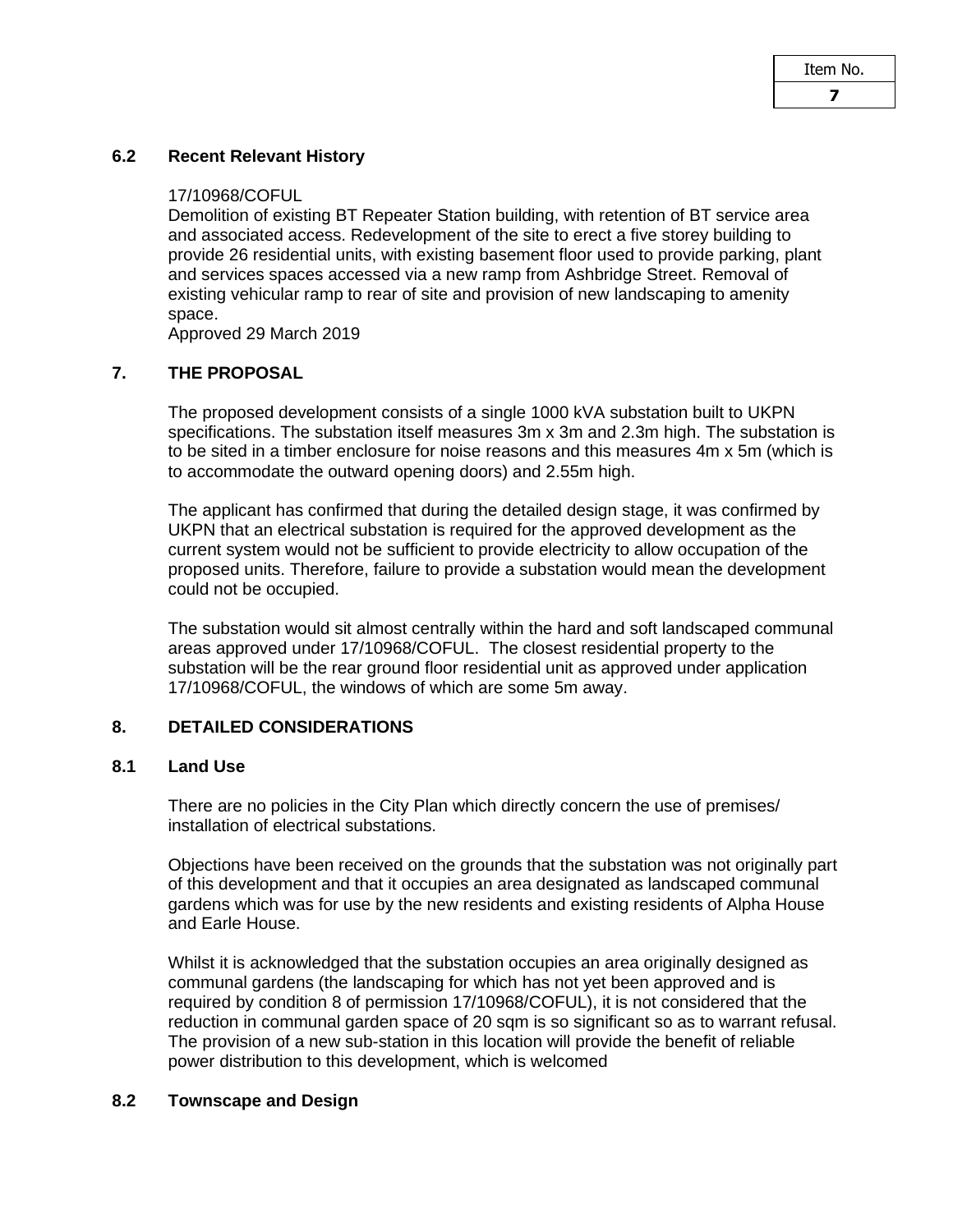#### **6.2 Recent Relevant History**

#### 17/10968/COFUL

Demolition of existing BT Repeater Station building, with retention of BT service area and associated access. Redevelopment of the site to erect a five storey building to provide 26 residential units, with existing basement floor used to provide parking, plant and services spaces accessed via a new ramp from Ashbridge Street. Removal of existing vehicular ramp to rear of site and provision of new landscaping to amenity space.

Approved 29 March 2019

## **7. THE PROPOSAL**

The proposed development consists of a single 1000 kVA substation built to UKPN specifications. The substation itself measures 3m x 3m and 2.3m high. The substation is to be sited in a timber enclosure for noise reasons and this measures 4m x 5m (which is to accommodate the outward opening doors) and 2.55m high.

The applicant has confirmed that during the detailed design stage, it was confirmed by UKPN that an electrical substation is required for the approved development as the current system would not be sufficient to provide electricity to allow occupation of the proposed units. Therefore, failure to provide a substation would mean the development could not be occupied.

The substation would sit almost centrally within the hard and soft landscaped communal areas approved under 17/10968/COFUL. The closest residential property to the substation will be the rear ground floor residential unit as approved under application 17/10968/COFUL, the windows of which are some 5m away.

# **8. DETAILED CONSIDERATIONS**

#### **8.1 Land Use**

There are no policies in the City Plan which directly concern the use of premises/ installation of electrical substations.

Objections have been received on the grounds that the substation was not originally part of this development and that it occupies an area designated as landscaped communal gardens which was for use by the new residents and existing residents of Alpha House and Earle House.

Whilst it is acknowledged that the substation occupies an area originally designed as communal gardens (the landscaping for which has not yet been approved and is required by condition 8 of permission 17/10968/COFUL), it is not considered that the reduction in communal garden space of 20 sqm is so significant so as to warrant refusal. The provision of a new sub-station in this location will provide the benefit of reliable power distribution to this development, which is welcomed

#### **8.2 Townscape and Design**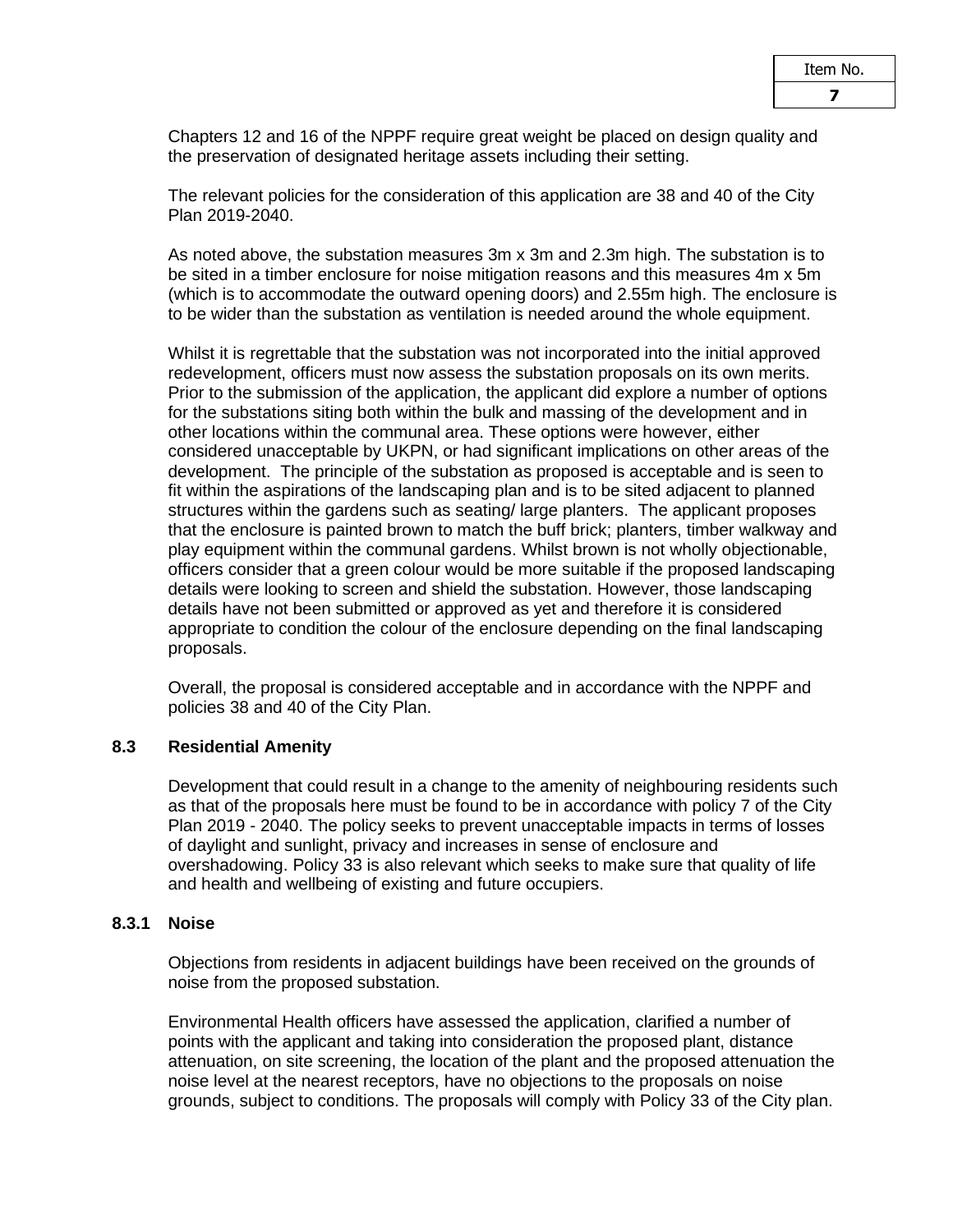Chapters 12 and 16 of the NPPF require great weight be placed on design quality and the preservation of designated heritage assets including their setting.

The relevant policies for the consideration of this application are 38 and 40 of the City Plan 2019-2040.

As noted above, the substation measures 3m x 3m and 2.3m high. The substation is to be sited in a timber enclosure for noise mitigation reasons and this measures 4m x 5m (which is to accommodate the outward opening doors) and 2.55m high. The enclosure is to be wider than the substation as ventilation is needed around the whole equipment.

Whilst it is regrettable that the substation was not incorporated into the initial approved redevelopment, officers must now assess the substation proposals on its own merits. Prior to the submission of the application, the applicant did explore a number of options for the substations siting both within the bulk and massing of the development and in other locations within the communal area. These options were however, either considered unacceptable by UKPN, or had significant implications on other areas of the development. The principle of the substation as proposed is acceptable and is seen to fit within the aspirations of the landscaping plan and is to be sited adjacent to planned structures within the gardens such as seating/ large planters. The applicant proposes that the enclosure is painted brown to match the buff brick; planters, timber walkway and play equipment within the communal gardens. Whilst brown is not wholly objectionable, officers consider that a green colour would be more suitable if the proposed landscaping details were looking to screen and shield the substation. However, those landscaping details have not been submitted or approved as yet and therefore it is considered appropriate to condition the colour of the enclosure depending on the final landscaping proposals.

Overall, the proposal is considered acceptable and in accordance with the NPPF and policies 38 and 40 of the City Plan.

# **8.3 Residential Amenity**

Development that could result in a change to the amenity of neighbouring residents such as that of the proposals here must be found to be in accordance with policy 7 of the City Plan 2019 - 2040. The policy seeks to prevent unacceptable impacts in terms of losses of daylight and sunlight, privacy and increases in sense of enclosure and overshadowing. Policy 33 is also relevant which seeks to make sure that quality of life and health and wellbeing of existing and future occupiers.

#### **8.3.1 Noise**

Objections from residents in adjacent buildings have been received on the grounds of noise from the proposed substation.

Environmental Health officers have assessed the application, clarified a number of points with the applicant and taking into consideration the proposed plant, distance attenuation, on site screening, the location of the plant and the proposed attenuation the noise level at the nearest receptors, have no objections to the proposals on noise grounds, subject to conditions. The proposals will comply with Policy 33 of the City plan.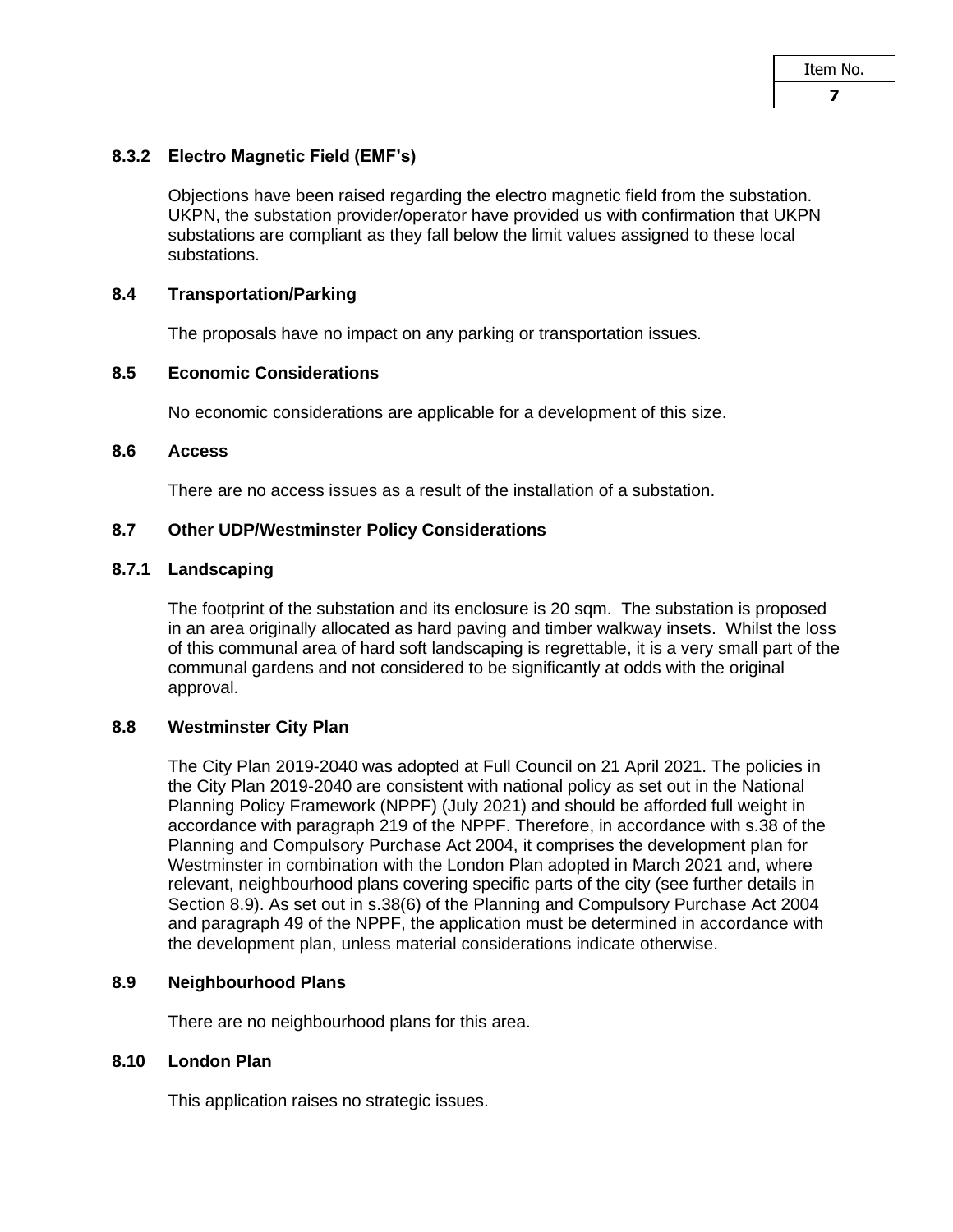## **8.3.2 Electro Magnetic Field (EMF's)**

Objections have been raised regarding the electro magnetic field from the substation. UKPN, the substation provider/operator have provided us with confirmation that UKPN substations are compliant as they fall below the limit values assigned to these local substations.

#### **8.4 Transportation/Parking**

The proposals have no impact on any parking or transportation issues.

# **8.5 Economic Considerations**

No economic considerations are applicable for a development of this size.

#### **8.6 Access**

There are no access issues as a result of the installation of a substation.

## **8.7 Other UDP/Westminster Policy Considerations**

#### **8.7.1 Landscaping**

The footprint of the substation and its enclosure is 20 sqm. The substation is proposed in an area originally allocated as hard paving and timber walkway insets. Whilst the loss of this communal area of hard soft landscaping is regrettable, it is a very small part of the communal gardens and not considered to be significantly at odds with the original approval.

#### **8.8 Westminster City Plan**

The City Plan 2019-2040 was adopted at Full Council on 21 April 2021. The policies in the City Plan 2019-2040 are consistent with national policy as set out in the National Planning Policy Framework (NPPF) (July 2021) and should be afforded full weight in accordance with paragraph 219 of the NPPF. Therefore, in accordance with s.38 of the Planning and Compulsory Purchase Act 2004, it comprises the development plan for Westminster in combination with the London Plan adopted in March 2021 and, where relevant, neighbourhood plans covering specific parts of the city (see further details in Section 8.9). As set out in s.38(6) of the Planning and Compulsory Purchase Act 2004 and paragraph 49 of the NPPF, the application must be determined in accordance with the development plan, unless material considerations indicate otherwise.

#### **8.9 Neighbourhood Plans**

There are no neighbourhood plans for this area.

# **8.10 London Plan**

This application raises no strategic issues.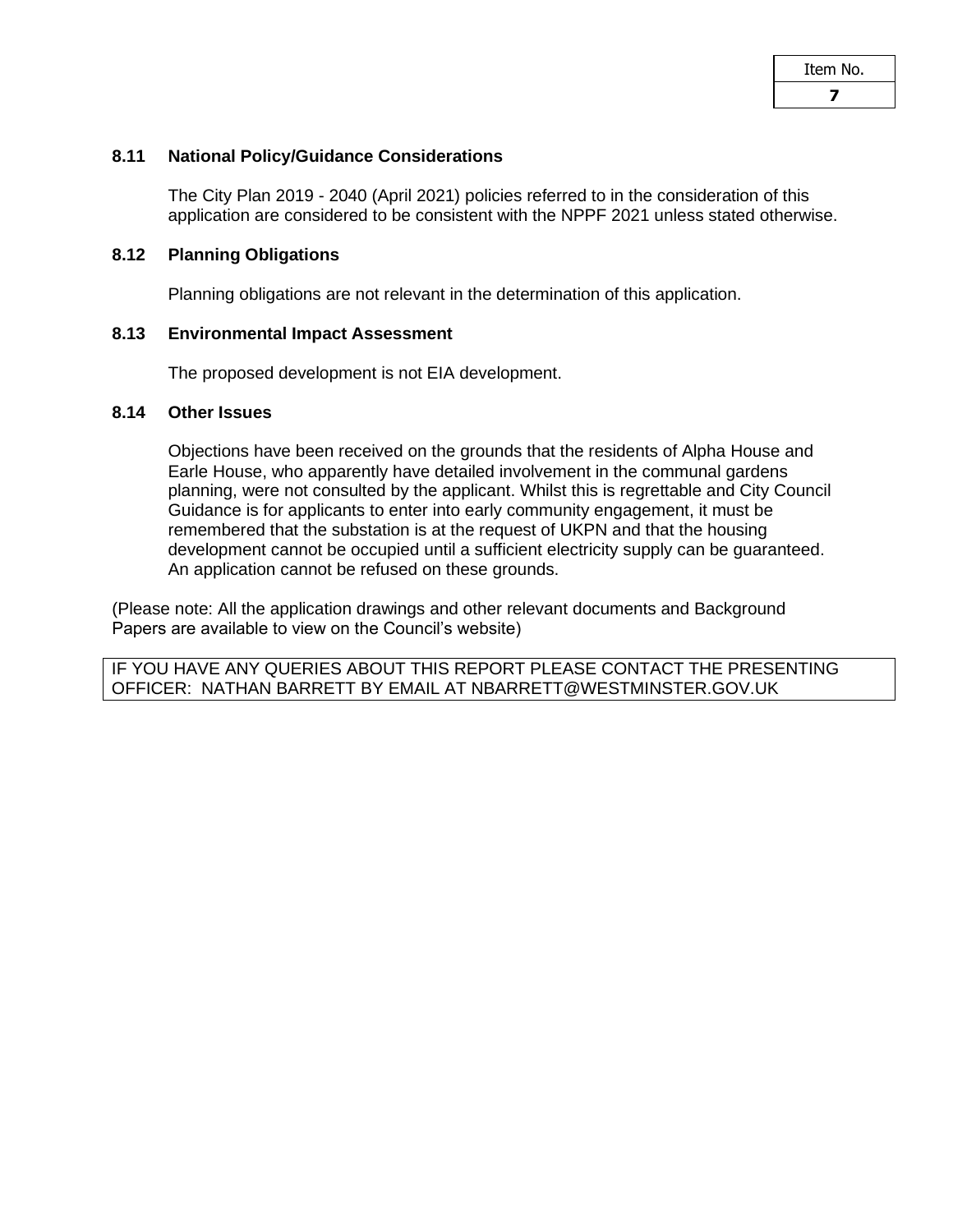#### **8.11 National Policy/Guidance Considerations**

The City Plan 2019 - 2040 (April 2021) policies referred to in the consideration of this application are considered to be consistent with the NPPF 2021 unless stated otherwise.

#### **8.12 Planning Obligations**

Planning obligations are not relevant in the determination of this application.

#### **8.13 Environmental Impact Assessment**

The proposed development is not EIA development.

#### **8.14 Other Issues**

Objections have been received on the grounds that the residents of Alpha House and Earle House, who apparently have detailed involvement in the communal gardens planning, were not consulted by the applicant. Whilst this is regrettable and City Council Guidance is for applicants to enter into early community engagement, it must be remembered that the substation is at the request of UKPN and that the housing development cannot be occupied until a sufficient electricity supply can be guaranteed. An application cannot be refused on these grounds.

(Please note: All the application drawings and other relevant documents and Background Papers are available to view on the Council's website)

IF YOU HAVE ANY QUERIES ABOUT THIS REPORT PLEASE CONTACT THE PRESENTING OFFICER: NATHAN BARRETT BY EMAIL AT NBARRETT@WESTMINSTER.GOV.UK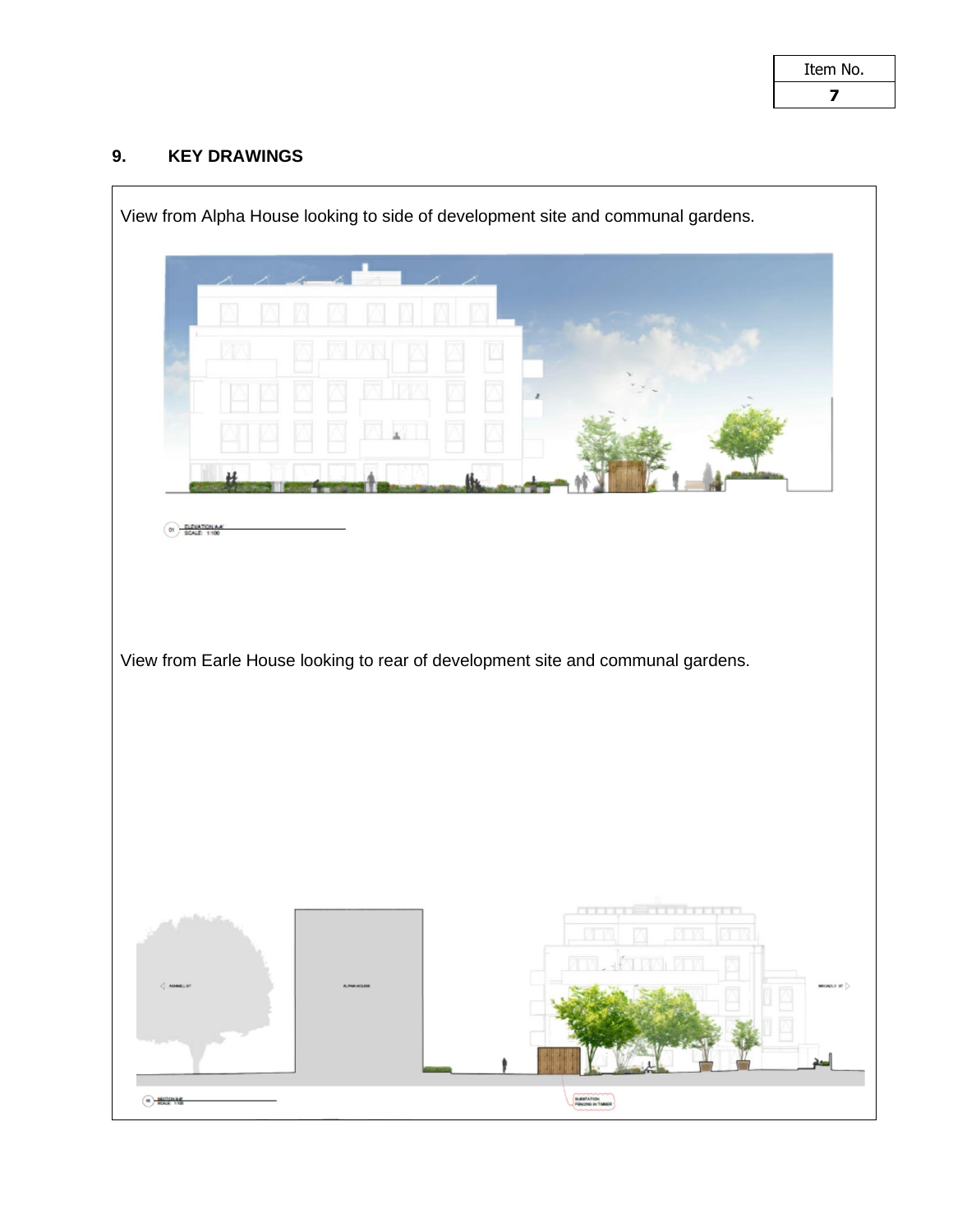# **9. KEY DRAWINGS**

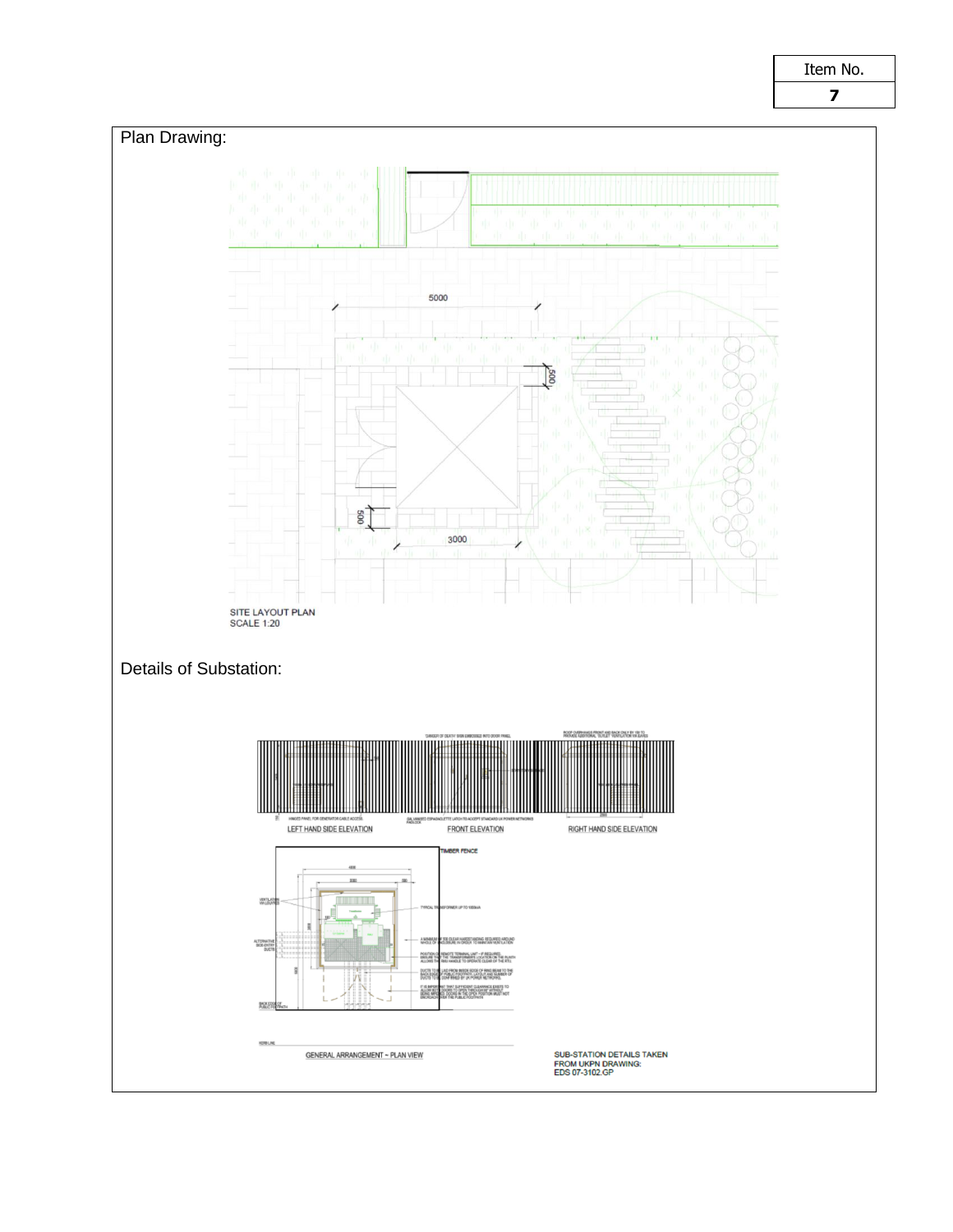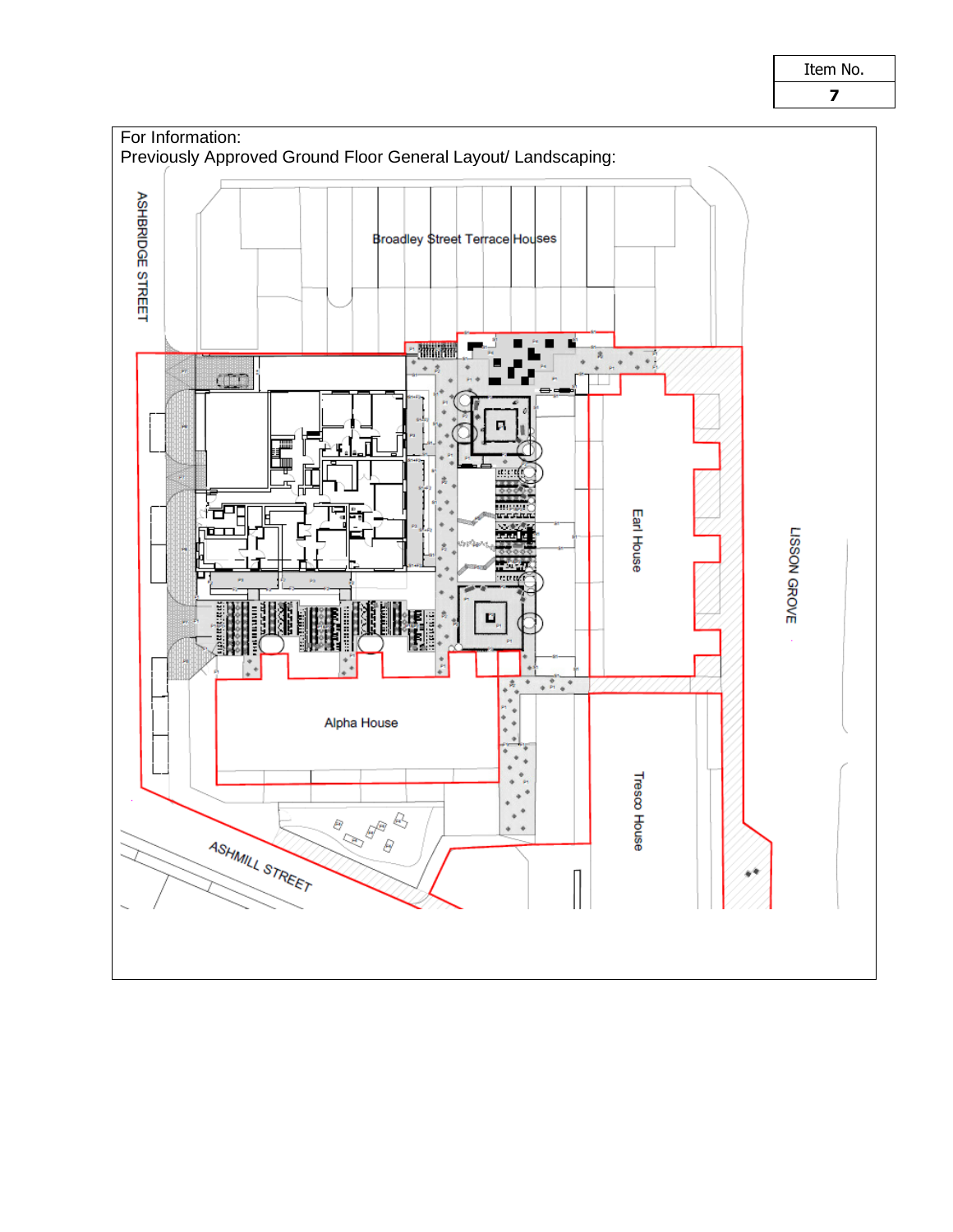

Item No.

**7**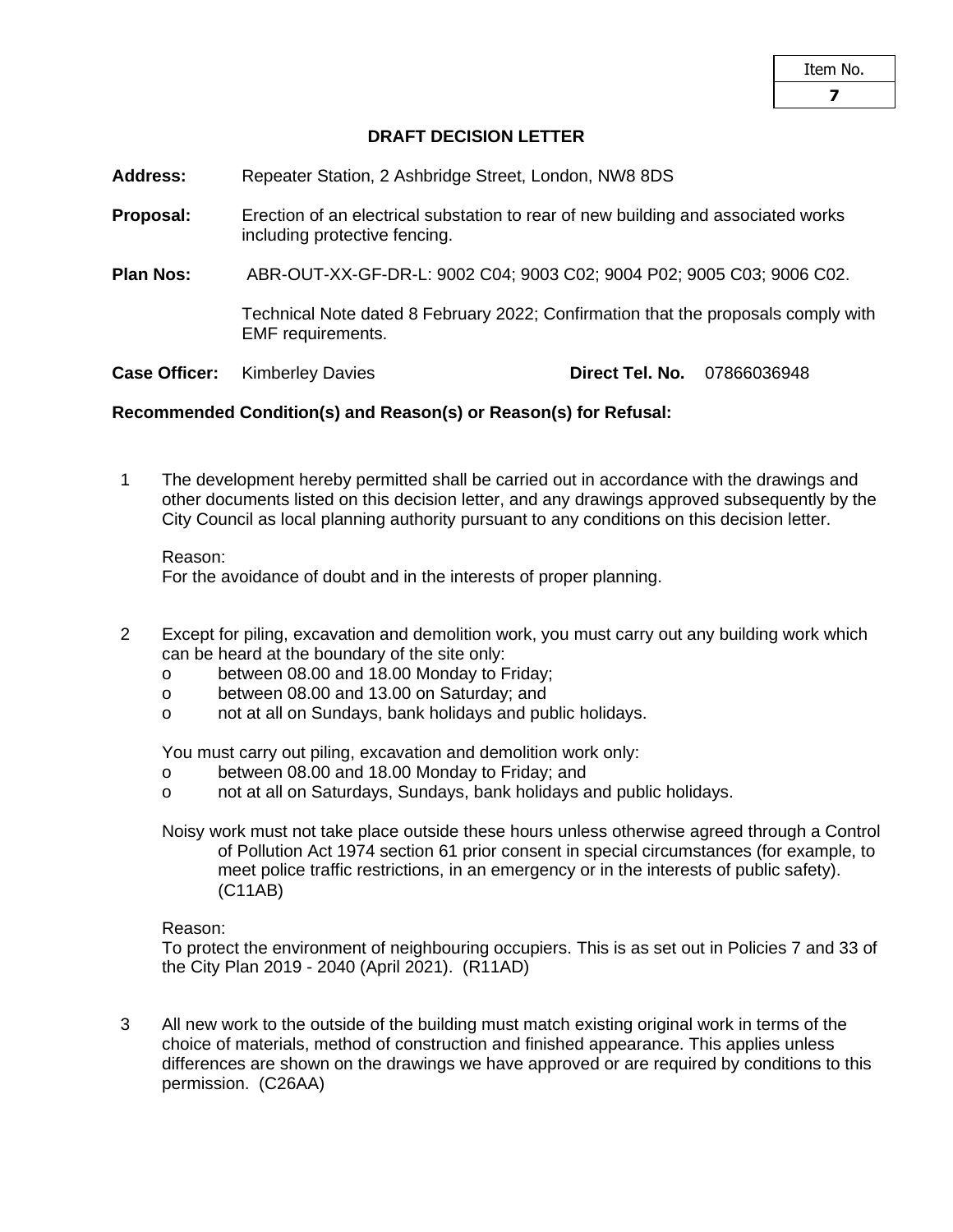# **DRAFT DECISION LETTER**

**Address:** Repeater Station, 2 Ashbridge Street, London, NW8 8DS

**Proposal:** Erection of an electrical substation to rear of new building and associated works including protective fencing.

**Plan Nos:** ABR-OUT-XX-GF-DR-L: 9002 C04; 9003 C02; 9004 P02; 9005 C03; 9006 C02.

Technical Note dated 8 February 2022; Confirmation that the proposals comply with EMF requirements.

**Case Officer:** Kimberley Davies **Direct Tel. No.** 07866036948

## **Recommended Condition(s) and Reason(s) or Reason(s) for Refusal:**

1 The development hereby permitted shall be carried out in accordance with the drawings and other documents listed on this decision letter, and any drawings approved subsequently by the City Council as local planning authority pursuant to any conditions on this decision letter.

Reason:

For the avoidance of doubt and in the interests of proper planning.

- 2 Except for piling, excavation and demolition work, you must carry out any building work which can be heard at the boundary of the site only:
	- o between 08.00 and 18.00 Monday to Friday;
	- o between 08.00 and 13.00 on Saturday; and
	- o not at all on Sundays, bank holidays and public holidays.

You must carry out piling, excavation and demolition work only:

- o between 08.00 and 18.00 Monday to Friday; and
- o not at all on Saturdays, Sundays, bank holidays and public holidays.
- Noisy work must not take place outside these hours unless otherwise agreed through a Control of Pollution Act 1974 section 61 prior consent in special circumstances (for example, to meet police traffic restrictions, in an emergency or in the interests of public safety). (C11AB)

Reason:

To protect the environment of neighbouring occupiers. This is as set out in Policies 7 and 33 of the City Plan 2019 - 2040 (April 2021). (R11AD)

3 All new work to the outside of the building must match existing original work in terms of the choice of materials, method of construction and finished appearance. This applies unless differences are shown on the drawings we have approved or are required by conditions to this permission. (C26AA)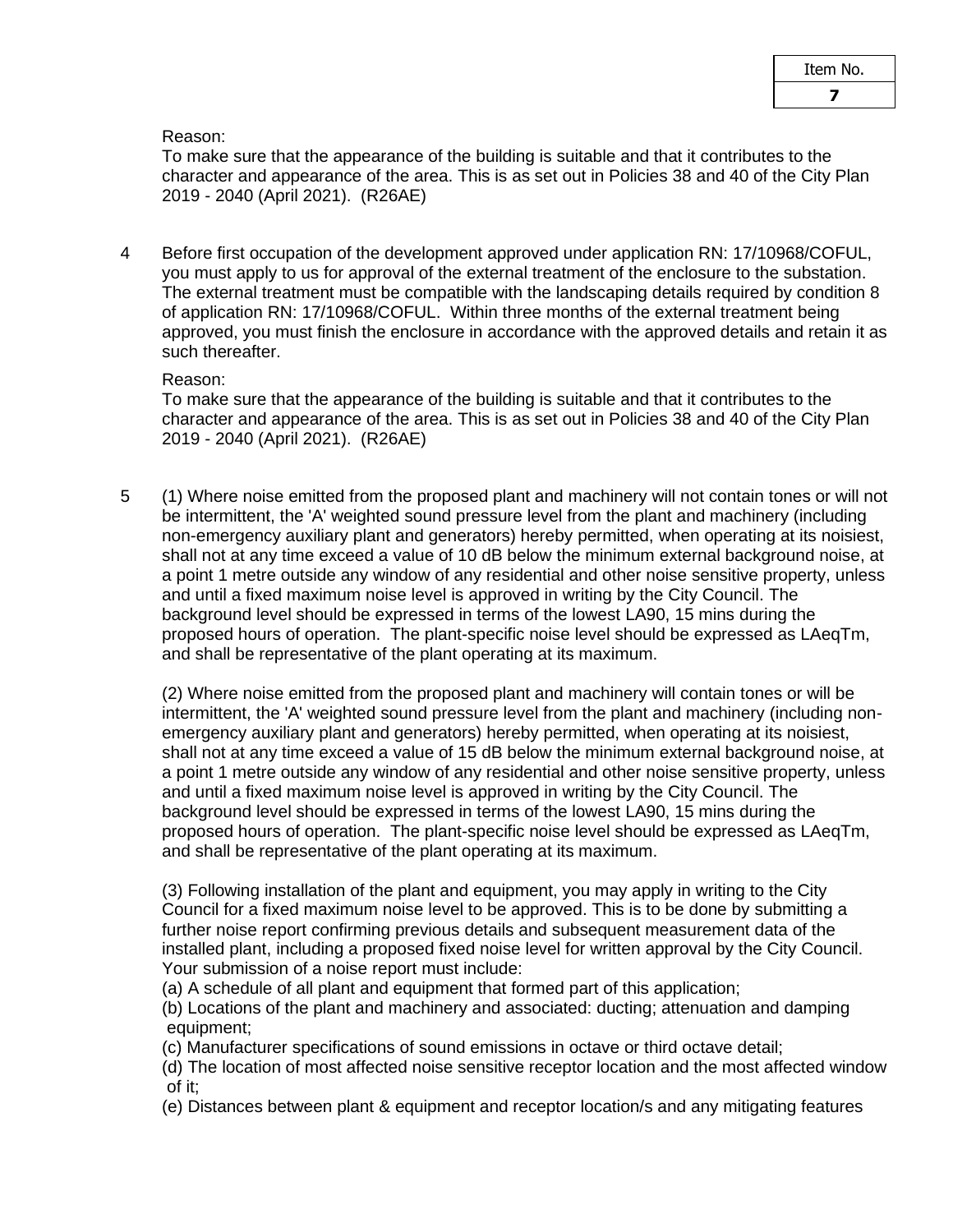Reason:

To make sure that the appearance of the building is suitable and that it contributes to the character and appearance of the area. This is as set out in Policies 38 and 40 of the City Plan 2019 - 2040 (April 2021). (R26AE)

4 Before first occupation of the development approved under application RN: 17/10968/COFUL, you must apply to us for approval of the external treatment of the enclosure to the substation. The external treatment must be compatible with the landscaping details required by condition 8 of application RN: 17/10968/COFUL. Within three months of the external treatment being approved, you must finish the enclosure in accordance with the approved details and retain it as such thereafter.

# Reason:

To make sure that the appearance of the building is suitable and that it contributes to the character and appearance of the area. This is as set out in Policies 38 and 40 of the City Plan 2019 - 2040 (April 2021). (R26AE)

5 (1) Where noise emitted from the proposed plant and machinery will not contain tones or will not be intermittent, the 'A' weighted sound pressure level from the plant and machinery (including non-emergency auxiliary plant and generators) hereby permitted, when operating at its noisiest, shall not at any time exceed a value of 10 dB below the minimum external background noise, at a point 1 metre outside any window of any residential and other noise sensitive property, unless and until a fixed maximum noise level is approved in writing by the City Council. The background level should be expressed in terms of the lowest LA90, 15 mins during the proposed hours of operation. The plant-specific noise level should be expressed as LAeqTm, and shall be representative of the plant operating at its maximum.

(2) Where noise emitted from the proposed plant and machinery will contain tones or will be intermittent, the 'A' weighted sound pressure level from the plant and machinery (including nonemergency auxiliary plant and generators) hereby permitted, when operating at its noisiest, shall not at any time exceed a value of 15 dB below the minimum external background noise, at a point 1 metre outside any window of any residential and other noise sensitive property, unless and until a fixed maximum noise level is approved in writing by the City Council. The background level should be expressed in terms of the lowest LA90, 15 mins during the proposed hours of operation. The plant-specific noise level should be expressed as LAeqTm, and shall be representative of the plant operating at its maximum.

(3) Following installation of the plant and equipment, you may apply in writing to the City Council for a fixed maximum noise level to be approved. This is to be done by submitting a further noise report confirming previous details and subsequent measurement data of the installed plant, including a proposed fixed noise level for written approval by the City Council. Your submission of a noise report must include:

(a) A schedule of all plant and equipment that formed part of this application;

(b) Locations of the plant and machinery and associated: ducting; attenuation and damping equipment;

(c) Manufacturer specifications of sound emissions in octave or third octave detail;

(d) The location of most affected noise sensitive receptor location and the most affected window of it;

(e) Distances between plant & equipment and receptor location/s and any mitigating features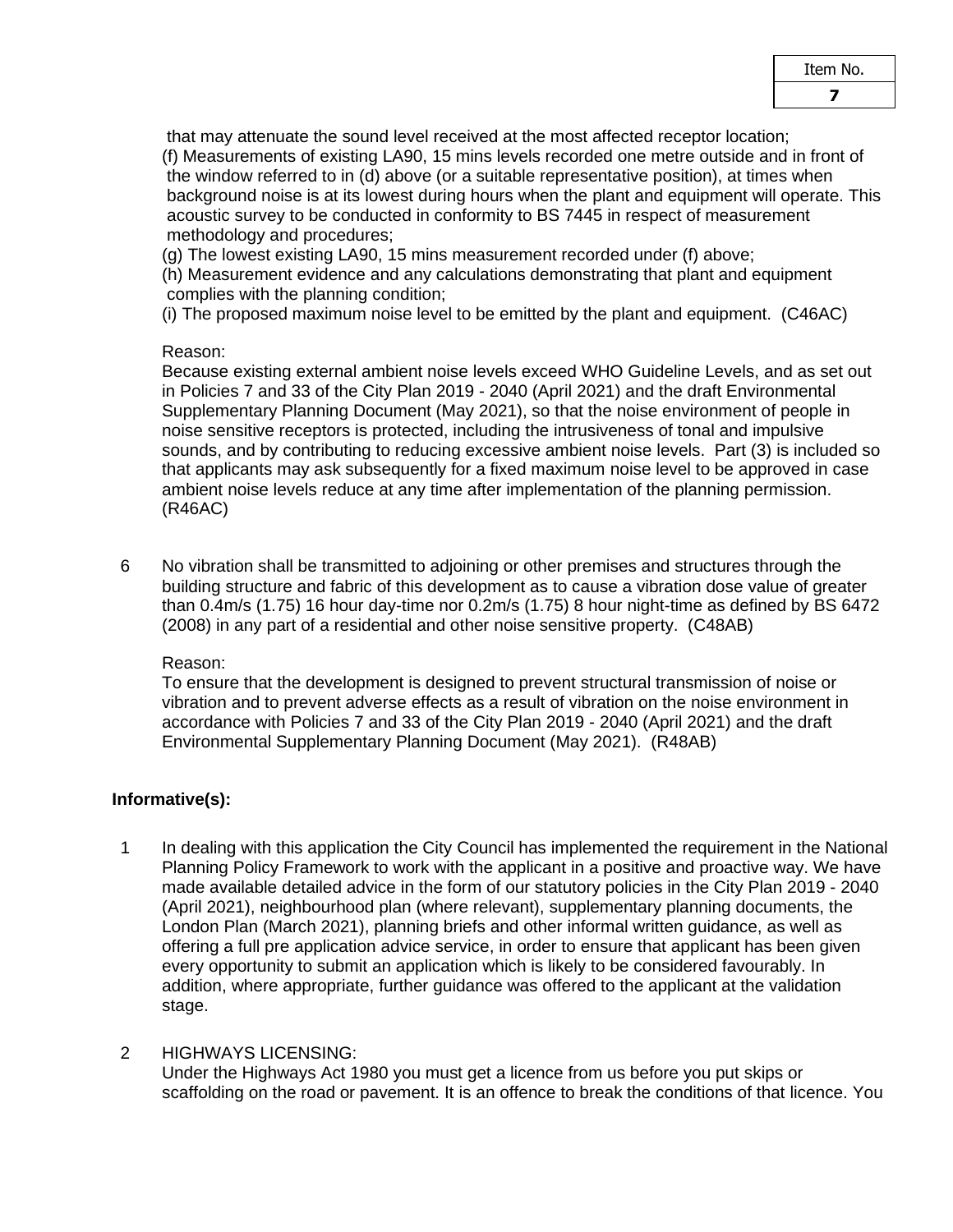that may attenuate the sound level received at the most affected receptor location; (f) Measurements of existing LA90, 15 mins levels recorded one metre outside and in front of the window referred to in (d) above (or a suitable representative position), at times when background noise is at its lowest during hours when the plant and equipment will operate. This acoustic survey to be conducted in conformity to BS 7445 in respect of measurement methodology and procedures;

(g) The lowest existing LA90, 15 mins measurement recorded under (f) above;

(h) Measurement evidence and any calculations demonstrating that plant and equipment complies with the planning condition;

(i) The proposed maximum noise level to be emitted by the plant and equipment. (C46AC)

## Reason:

Because existing external ambient noise levels exceed WHO Guideline Levels, and as set out in Policies 7 and 33 of the City Plan 2019 - 2040 (April 2021) and the draft Environmental Supplementary Planning Document (May 2021), so that the noise environment of people in noise sensitive receptors is protected, including the intrusiveness of tonal and impulsive sounds, and by contributing to reducing excessive ambient noise levels. Part (3) is included so that applicants may ask subsequently for a fixed maximum noise level to be approved in case ambient noise levels reduce at any time after implementation of the planning permission. (R46AC)

6 No vibration shall be transmitted to adjoining or other premises and structures through the building structure and fabric of this development as to cause a vibration dose value of greater than 0.4m/s (1.75) 16 hour day-time nor 0.2m/s (1.75) 8 hour night-time as defined by BS 6472 (2008) in any part of a residential and other noise sensitive property. (C48AB)

#### Reason:

To ensure that the development is designed to prevent structural transmission of noise or vibration and to prevent adverse effects as a result of vibration on the noise environment in accordance with Policies 7 and 33 of the City Plan 2019 - 2040 (April 2021) and the draft Environmental Supplementary Planning Document (May 2021). (R48AB)

# **Informative(s):**

1 In dealing with this application the City Council has implemented the requirement in the National Planning Policy Framework to work with the applicant in a positive and proactive way. We have made available detailed advice in the form of our statutory policies in the City Plan 2019 - 2040 (April 2021), neighbourhood plan (where relevant), supplementary planning documents, the London Plan (March 2021), planning briefs and other informal written guidance, as well as offering a full pre application advice service, in order to ensure that applicant has been given every opportunity to submit an application which is likely to be considered favourably. In addition, where appropriate, further guidance was offered to the applicant at the validation stage.

#### 2 HIGHWAYS LICENSING:

Under the Highways Act 1980 you must get a licence from us before you put skips or scaffolding on the road or pavement. It is an offence to break the conditions of that licence. You